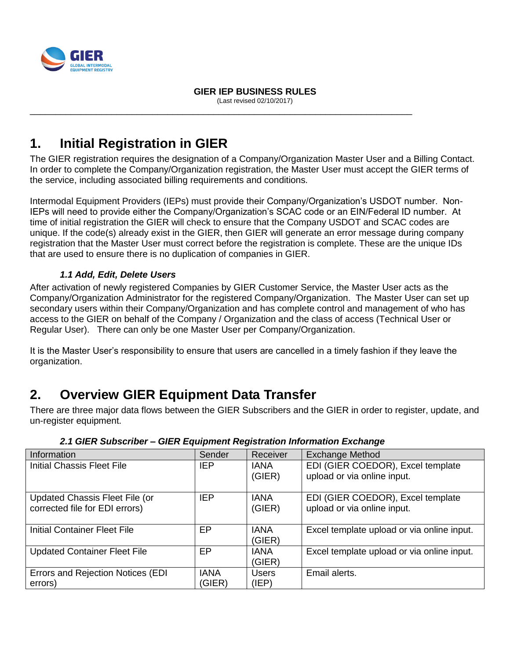

 **GIER IEP BUSINESS RULES** (Last revised 02/10/2017)

\_\_\_\_\_\_\_\_\_\_\_\_\_\_\_\_\_\_\_\_\_\_\_\_\_\_\_\_\_\_\_\_\_\_\_\_\_\_\_\_\_\_\_\_\_\_\_\_\_\_\_\_\_\_\_\_\_\_\_\_\_\_\_\_\_\_\_\_\_\_\_\_\_\_\_

# **1. Initial Registration in GIER**

The GIER registration requires the designation of a Company/Organization Master User and a Billing Contact. In order to complete the Company/Organization registration, the Master User must accept the GIER terms of the service, including associated billing requirements and conditions.

Intermodal Equipment Providers (IEPs) must provide their Company/Organization's USDOT number. Non-IEPs will need to provide either the Company/Organization's SCAC code or an EIN/Federal ID number. At time of initial registration the GIER will check to ensure that the Company USDOT and SCAC codes are unique. If the code(s) already exist in the GIER, then GIER will generate an error message during company registration that the Master User must correct before the registration is complete. These are the unique IDs that are used to ensure there is no duplication of companies in GIER.

## *1.1 Add, Edit, Delete Users*

After activation of newly registered Companies by GIER Customer Service, the Master User acts as the Company/Organization Administrator for the registered Company/Organization. The Master User can set up secondary users within their Company/Organization and has complete control and management of who has access to the GIER on behalf of the Company / Organization and the class of access (Technical User or Regular User). There can only be one Master User per Company/Organization.

It is the Master User's responsibility to ensure that users are cancelled in a timely fashion if they leave the organization.

# **2. Overview GIER Equipment Data Transfer**

There are three major data flows between the GIER Subscribers and the GIER in order to register, update, and un-register equipment.

| Information                           | Sender      | Receiver              | <b>Exchange Method</b>                     |
|---------------------------------------|-------------|-----------------------|--------------------------------------------|
| <b>Initial Chassis Fleet File</b>     | <b>IEP</b>  | <b>IANA</b>           | EDI (GIER COEDOR), Excel template          |
|                                       |             | (GIER)                | upload or via online input.                |
| <b>Updated Chassis Fleet File (or</b> | <b>IEP</b>  | <b>IANA</b>           | EDI (GIER COEDOR), Excel template          |
| corrected file for EDI errors)        |             | (GIER)                | upload or via online input.                |
| <b>Initial Container Fleet File</b>   | EP          | <b>IANA</b><br>(GIER) | Excel template upload or via online input. |
| <b>Updated Container Fleet File</b>   | EP          | <b>IANA</b>           | Excel template upload or via online input. |
|                                       |             | (GIER)                |                                            |
| Errors and Rejection Notices (EDI     | <b>IANA</b> | Users                 | Email alerts.                              |
| errors)                               | (GIER)      | (IEP)                 |                                            |

*2.1 GIER Subscriber – GIER Equipment Registration Information Exchange*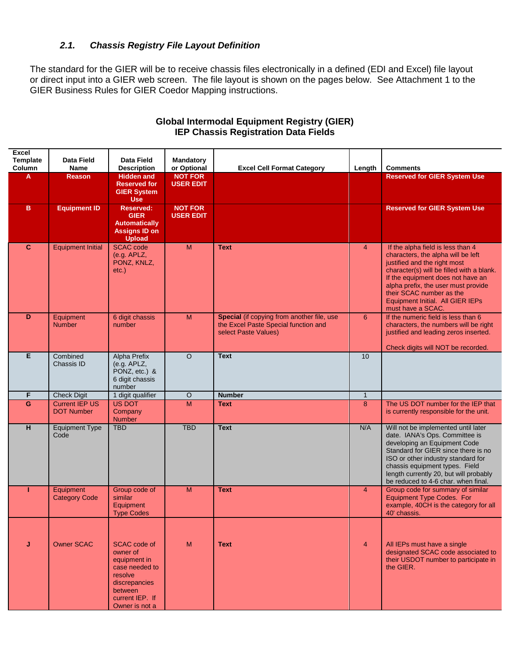### *2.1. Chassis Registry File Layout Definition*

The standard for the GIER will be to receive chassis files electronically in a defined (EDI and Excel) file layout or direct input into a GIER web screen. The file layout is shown on the pages below. See Attachment 1 to the GIER Business Rules for GIER Coedor Mapping instructions.

| <b>Excel</b><br><b>Template</b><br>Column | <b>Data Field</b><br>Name                  | <b>Data Field</b><br><b>Description</b>                                                                                                | Mandatory<br>or Optional           | <b>Excel Cell Format Category</b>                                                                          | Length         | <b>Comments</b>                                                                                                                                                                                                                                                                                                       |
|-------------------------------------------|--------------------------------------------|----------------------------------------------------------------------------------------------------------------------------------------|------------------------------------|------------------------------------------------------------------------------------------------------------|----------------|-----------------------------------------------------------------------------------------------------------------------------------------------------------------------------------------------------------------------------------------------------------------------------------------------------------------------|
| A                                         | <b>Reason</b>                              | <b>Hidden and</b><br><b>Reserved for</b><br><b>GIER System</b><br><b>Use</b>                                                           | <b>NOT FOR</b><br><b>USER EDIT</b> |                                                                                                            |                | <b>Reserved for GIER System Use</b>                                                                                                                                                                                                                                                                                   |
| в                                         | <b>Equipment ID</b>                        | <b>Reserved:</b><br><b>GIER</b><br><b>Automatically</b><br><b>Assigns ID on</b><br><b>Upload</b>                                       | <b>NOT FOR</b><br><b>USER EDIT</b> |                                                                                                            |                | <b>Reserved for GIER System Use</b>                                                                                                                                                                                                                                                                                   |
| $\mathbf{C}$                              | <b>Equipment Initial</b>                   | <b>SCAC</b> code<br>(e.g. APLZ,<br>PONZ, KNLZ,<br>$etc.$ )                                                                             | M                                  | <b>Text</b>                                                                                                | $\overline{4}$ | If the alpha field is less than 4<br>characters, the alpha will be left<br>justified and the right most<br>character(s) will be filled with a blank.<br>If the equipment does not have an<br>alpha prefix, the user must provide<br>their SCAC number as the<br>Equipment Initial. All GIER IEPs<br>must have a SCAC. |
| D                                         | Equipment<br><b>Number</b>                 | 6 digit chassis<br>number                                                                                                              | M                                  | Special (if copying from another file, use<br>the Excel Paste Special function and<br>select Paste Values) | 6              | If the numeric field is less than 6<br>characters, the numbers will be right<br>justified and leading zeros inserted.<br>Check digits will NOT be recorded.                                                                                                                                                           |
| Е                                         | Combined<br>Chassis ID                     | Alpha Prefix<br>(e.g. APLZ,<br>PONZ, etc.) &<br>6 digit chassis<br>number                                                              | $\Omega$                           | <b>Text</b>                                                                                                | 10             |                                                                                                                                                                                                                                                                                                                       |
| F                                         | <b>Check Digit</b>                         | 1 digit qualifier                                                                                                                      | $\circ$                            | <b>Number</b>                                                                                              | $\mathbf{1}$   |                                                                                                                                                                                                                                                                                                                       |
| G                                         | <b>Current IEP US</b><br><b>DOT Number</b> | <b>US DOT</b><br>Company<br><b>Number</b>                                                                                              | M                                  | <b>Text</b>                                                                                                | 8              | The US DOT number for the IEP that<br>is currently responsible for the unit.                                                                                                                                                                                                                                          |
| H                                         | <b>Equipment Type</b><br>Code              | <b>TBD</b>                                                                                                                             | <b>TBD</b>                         | <b>Text</b>                                                                                                | N/A            | Will not be implemented until later<br>date. IANA's Ops. Committee is<br>developing an Equipment Code<br>Standard for GIER since there is no<br>ISO or other industry standard for<br>chassis equipment types. Field<br>length currently 20, but will probably<br>be reduced to 4-6 char. when final.                 |
|                                           | Equipment<br><b>Category Code</b>          | Group code of<br>similar<br>Equipment<br><b>Type Codes</b>                                                                             | M                                  | <b>Text</b>                                                                                                | $\overline{4}$ | Group code for summary of similar<br>Equipment Type Codes. For<br>example, 40CH is the category for all<br>40' chassis.                                                                                                                                                                                               |
| J                                         | <b>Owner SCAC</b>                          | SCAC code of<br>owner of<br>equipment in<br>case needed to<br>resolve<br>discrepancies<br>between<br>current IEP. If<br>Owner is not a | M                                  | <b>Text</b>                                                                                                | $\overline{4}$ | All IEPs must have a single<br>designated SCAC code associated to<br>their USDOT number to participate in<br>the GIER.                                                                                                                                                                                                |

## **Global Intermodal Equipment Registry (GIER) IEP Chassis Registration Data Fields**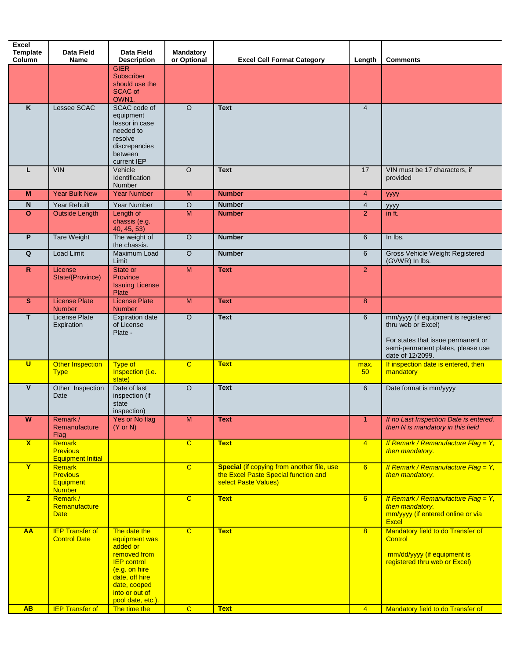| Name<br>Lessee SCAC<br><b>VIN</b><br><b>Year Built New</b><br><b>Year Rebuilt</b><br><b>Outside Length</b><br><b>Tare Weight</b> | <b>Description</b><br><b>GIER</b><br><b>Subscriber</b><br>should use the<br><b>SCAC of</b><br>OWN1.<br>SCAC code of<br>equipment<br>lessor in case<br>needed to<br>resolve<br>discrepancies<br>between<br>current IEP<br>Vehicle<br>Identification<br>Number<br><b>Year Number</b><br>Year Number<br>Length of<br>chassis (e.g. | or Optional<br>$\circ$<br>$\overline{O}$<br>M<br>$\overline{O}$<br>M | <b>Excel Cell Format Category</b><br><b>Text</b><br><b>Text</b><br><b>Number</b>                           | Length<br>$\overline{4}$<br>17 | <b>Comments</b><br>VIN must be 17 characters, if<br>provided                                                                                             |
|----------------------------------------------------------------------------------------------------------------------------------|---------------------------------------------------------------------------------------------------------------------------------------------------------------------------------------------------------------------------------------------------------------------------------------------------------------------------------|----------------------------------------------------------------------|------------------------------------------------------------------------------------------------------------|--------------------------------|----------------------------------------------------------------------------------------------------------------------------------------------------------|
|                                                                                                                                  |                                                                                                                                                                                                                                                                                                                                 |                                                                      |                                                                                                            |                                |                                                                                                                                                          |
|                                                                                                                                  |                                                                                                                                                                                                                                                                                                                                 |                                                                      |                                                                                                            |                                |                                                                                                                                                          |
|                                                                                                                                  |                                                                                                                                                                                                                                                                                                                                 |                                                                      |                                                                                                            |                                |                                                                                                                                                          |
|                                                                                                                                  |                                                                                                                                                                                                                                                                                                                                 |                                                                      |                                                                                                            |                                |                                                                                                                                                          |
|                                                                                                                                  |                                                                                                                                                                                                                                                                                                                                 |                                                                      |                                                                                                            | $\overline{4}$                 | уууу                                                                                                                                                     |
|                                                                                                                                  |                                                                                                                                                                                                                                                                                                                                 |                                                                      | <b>Number</b>                                                                                              | $\overline{4}$                 | уууу                                                                                                                                                     |
|                                                                                                                                  | 40, 45, 53)                                                                                                                                                                                                                                                                                                                     |                                                                      | <b>Number</b>                                                                                              | $\overline{2}$                 | in ft.                                                                                                                                                   |
|                                                                                                                                  | The weight of<br>the chassis.                                                                                                                                                                                                                                                                                                   | $\overline{O}$                                                       | <b>Number</b>                                                                                              | 6                              | In lbs.                                                                                                                                                  |
| Load Limit                                                                                                                       | Maximum Load<br>Limit                                                                                                                                                                                                                                                                                                           | $\circ$                                                              | <b>Number</b>                                                                                              | 6                              | Gross Vehicle Weight Registered<br>(GVWR) In lbs.                                                                                                        |
| License<br>State/{Province)                                                                                                      | State or<br>Province<br><b>Issuing License</b><br>Plate                                                                                                                                                                                                                                                                         | M                                                                    | <b>Text</b>                                                                                                | $\overline{2}$                 |                                                                                                                                                          |
| <b>License Plate</b><br><b>Number</b>                                                                                            | <b>License Plate</b><br><b>Number</b>                                                                                                                                                                                                                                                                                           | M                                                                    | <b>Text</b>                                                                                                | 8                              |                                                                                                                                                          |
| <b>License Plate</b><br>Expiration                                                                                               | <b>Expiration date</b><br>of License<br>Plate -                                                                                                                                                                                                                                                                                 | $\overline{O}$                                                       | <b>Text</b>                                                                                                | 6                              | mm/yyyy (if equipment is registered<br>thru web or Excel)<br>For states that issue permanent or<br>semi-permanent plates, please use<br>date of 12/2099. |
| <b>Other Inspection</b><br><b>Type</b>                                                                                           | Type of<br>Inspection (i.e.<br>state)                                                                                                                                                                                                                                                                                           | $\overline{C}$                                                       | <b>Text</b>                                                                                                | max.<br>50 <sub>2</sub>        | If inspection date is entered, then<br>mandatory                                                                                                         |
| Other Inspection<br>Date                                                                                                         | Date of last<br>inspection (if<br>state<br>inspection)                                                                                                                                                                                                                                                                          | $\overline{O}$                                                       | <b>Text</b>                                                                                                | 6                              | Date format is mm/yyyy                                                                                                                                   |
| Remark /                                                                                                                         | Yes or No flag                                                                                                                                                                                                                                                                                                                  | $\overline{M}$                                                       | <b>Text</b>                                                                                                | $\overline{1}$                 | If no Last Inspection Date is entered,                                                                                                                   |
| Remanufacture<br>Flag                                                                                                            | $(Y \text{ or } N)$                                                                                                                                                                                                                                                                                                             |                                                                      |                                                                                                            |                                | then N is mandatory in this field                                                                                                                        |
| Remark<br><b>Previous</b><br><b>Equipment Initial</b>                                                                            |                                                                                                                                                                                                                                                                                                                                 | $\overline{c}$                                                       | <b>Text</b>                                                                                                | $\overline{4}$                 | If Remark / Remanufacture Flag = Y,<br>then mandatory.                                                                                                   |
| <b>Remark</b><br><b>Previous</b><br><b>Equipment</b><br><b>Number</b>                                                            |                                                                                                                                                                                                                                                                                                                                 | $\overline{C}$                                                       | Special (if copying from another file, use<br>the Excel Paste Special function and<br>select Paste Values) | 6                              | If Remark / Remanufacture Flag = Y,<br>then mandatory.                                                                                                   |
| Remark /<br>Remanufacture<br><b>Date</b>                                                                                         |                                                                                                                                                                                                                                                                                                                                 | $\overline{c}$                                                       | <b>Text</b>                                                                                                | 6                              | If Remark / Remanufacture Flag = Y,<br>then mandatory.<br>mm/yyyy (if entered online or via<br><b>Excel</b>                                              |
| <b>IEP Transfer of</b><br><b>Control Date</b>                                                                                    | The date the<br>equipment was<br>added or<br>removed from<br><b>IEP</b> control<br>(e.g. on hire<br>date, off hire<br>date, cooped<br>into or out of<br>pool date, etc.).<br>The time the                                                                                                                                       | $\overline{c}$<br>$\overline{C}$                                     | <b>Text</b>                                                                                                | 8                              | Mandatory field to do Transfer of<br>Control<br>mm/dd/yyyy (if equipment is<br>registered thru web or Excel)<br>Mandatory field to do Transfer of        |
|                                                                                                                                  | <b>IEP Transfer of</b>                                                                                                                                                                                                                                                                                                          |                                                                      |                                                                                                            |                                | <b>Text</b><br>$\overline{4}$                                                                                                                            |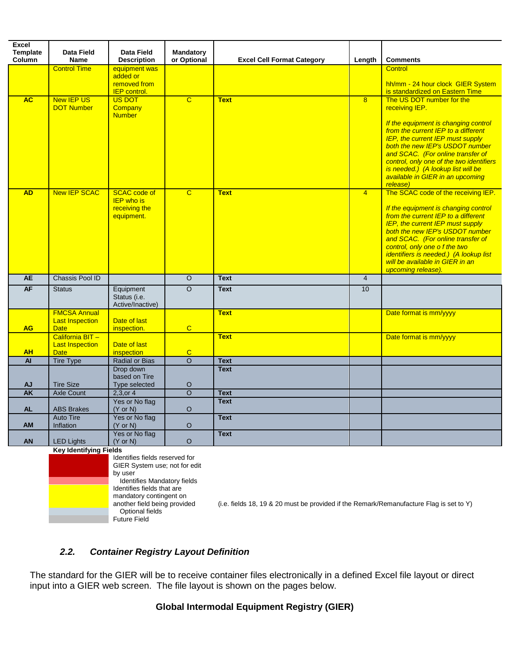| Excel<br><b>Template</b> | Data Field                                    | Data Field                               | <b>Mandatory</b>   |                                   |                |                                                                            |
|--------------------------|-----------------------------------------------|------------------------------------------|--------------------|-----------------------------------|----------------|----------------------------------------------------------------------------|
| Column                   | Name                                          | <b>Description</b>                       | or Optional        | <b>Excel Cell Format Category</b> | Length         | <b>Comments</b>                                                            |
|                          | <b>Control Time</b>                           | equipment was                            |                    |                                   |                | <b>Control</b>                                                             |
|                          |                                               | added or                                 |                    |                                   |                |                                                                            |
|                          |                                               | removed from                             |                    |                                   |                | hh/mm - 24 hour clock GIER System                                          |
| <b>AC</b>                | <b>New IEP US</b>                             | <b>IEP</b> control.<br><b>US DOT</b>     |                    |                                   |                | is standardized on Eastern Time<br>The US DOT number for the               |
|                          | <b>DOT Number</b>                             | Company                                  | $\overline{C}$     | <b>Text</b>                       | 8              | receiving IEP.                                                             |
|                          |                                               | <b>Number</b>                            |                    |                                   |                |                                                                            |
|                          |                                               |                                          |                    |                                   |                | If the equipment is changing control                                       |
|                          |                                               |                                          |                    |                                   |                | from the current IEP to a different                                        |
|                          |                                               |                                          |                    |                                   |                | IEP, the current IEP must supply<br>both the new IEP's USDOT number        |
|                          |                                               |                                          |                    |                                   |                | and SCAC. (For online transfer of                                          |
|                          |                                               |                                          |                    |                                   |                | control, only one of the two identifiers                                   |
|                          |                                               |                                          |                    |                                   |                | is needed.) (A lookup list will be                                         |
|                          |                                               |                                          |                    |                                   |                | available in GIER in an upcoming                                           |
| <b>AD</b>                | <b>New IEP SCAC</b>                           | <b>SCAC</b> code of                      | $\overline{c}$     | <b>Text</b>                       | $\overline{4}$ | release)<br>The SCAC code of the receiving IEP.                            |
|                          |                                               | <b>IEP</b> who is                        |                    |                                   |                |                                                                            |
|                          |                                               | receiving the                            |                    |                                   |                | If the equipment is changing control                                       |
|                          |                                               | equipment.                               |                    |                                   |                | from the current IEP to a different                                        |
|                          |                                               |                                          |                    |                                   |                | <b>IEP, the current IEP must supply</b><br>both the new IEP's USDOT number |
|                          |                                               |                                          |                    |                                   |                | and SCAC. (For online transfer of                                          |
|                          |                                               |                                          |                    |                                   |                | control, only one of the two                                               |
|                          |                                               |                                          |                    |                                   |                | identifiers is needed.) (A lookup list                                     |
|                          |                                               |                                          |                    |                                   |                | will be available in GIER in an<br>upcoming release).                      |
| <b>AE</b>                | Chassis Pool ID                               |                                          | $\circ$            | <b>Text</b>                       | $\overline{4}$ |                                                                            |
| AF                       | <b>Status</b>                                 | Equipment                                | $\overline{O}$     | <b>Text</b>                       | 10             |                                                                            |
|                          |                                               | Status (i.e.                             |                    |                                   |                |                                                                            |
|                          |                                               | Active/Inactive)                         |                    |                                   |                |                                                                            |
|                          | <b>FMCSA Annual</b><br><b>Last Inspection</b> | Date of last                             |                    | <b>Text</b>                       |                | Date format is mm/yyyy                                                     |
| <b>AG</b>                | <b>Date</b>                                   | inspection.                              | $\mathbf C$        |                                   |                |                                                                            |
|                          | California BIT-                               |                                          |                    | <b>Text</b>                       |                | Date format is mm/yyyy                                                     |
|                          | <b>Last Inspection</b>                        | Date of last                             |                    |                                   |                |                                                                            |
| <b>AH</b>                | <b>Date</b>                                   | inspection                               | $\mathbf C$        |                                   |                |                                                                            |
| <b>AI</b>                | <b>Tire Type</b>                              | <b>Radial or Bias</b>                    | $\circ$            | <b>Text</b>                       |                |                                                                            |
|                          |                                               | Drop down<br>based on Tire               |                    | <b>Text</b>                       |                |                                                                            |
| <b>AJ</b>                | <b>Tire Size</b>                              | Type selected                            | $\circ$            |                                   |                |                                                                            |
| AK                       | Axle Count                                    | $2,3,$ or 4                              | $\overline{\circ}$ | <b>Text</b>                       |                |                                                                            |
|                          |                                               | Yes or No flag                           |                    | <b>Text</b>                       |                |                                                                            |
| <b>AL</b>                | <b>ABS Brakes</b>                             | $(Y \text{ or } N)$                      | $\circ$            |                                   |                |                                                                            |
| <b>AM</b>                | <b>Auto Tire</b><br>Inflation                 | Yes or No flag<br>$(Y \text{ or } N)$    | $\circ$            | <b>Text</b>                       |                |                                                                            |
|                          |                                               | Yes or No flag                           |                    | <b>Text</b>                       |                |                                                                            |
| <b>AN</b>                | <b>LED Lights</b>                             | $(Y \text{ or } N)$                      | $\circ$            |                                   |                |                                                                            |
|                          | Key Identifying Fields                        |                                          |                    |                                   |                |                                                                            |
|                          |                                               | Identifies fields reserved for           |                    |                                   |                |                                                                            |
|                          |                                               | GIER System use; not for edit<br>by user |                    |                                   |                |                                                                            |
|                          |                                               | Identifies Mandatory fields              |                    |                                   |                |                                                                            |
|                          |                                               | Identifies fields that are               |                    |                                   |                |                                                                            |

## *2.2. Container Registry Layout Definition*

mandatory contingent on<br>another field being provided

Optional fields Future Field

The standard for the GIER will be to receive container files electronically in a defined Excel file layout or direct input into a GIER web screen. The file layout is shown on the pages below.

(i.e. fields 18, 19 & 20 must be provided if the Remark/Remanufacture Flag is set to Y)

### **Global Intermodal Equipment Registry (GIER)**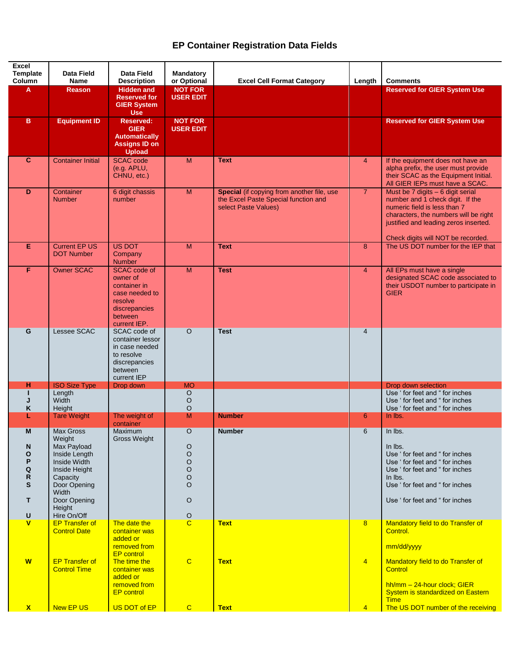## **EP Container Registration Data Fields**

| <b>Excel</b>                         |                                                                                                                                                     |                                                                                                                                                                  |                                                                    |                                                                                                            |                     |                                                                                                                                                                                                                                  |
|--------------------------------------|-----------------------------------------------------------------------------------------------------------------------------------------------------|------------------------------------------------------------------------------------------------------------------------------------------------------------------|--------------------------------------------------------------------|------------------------------------------------------------------------------------------------------------|---------------------|----------------------------------------------------------------------------------------------------------------------------------------------------------------------------------------------------------------------------------|
| <b>Template</b>                      | Data Field                                                                                                                                          | Data Field                                                                                                                                                       | <b>Mandatory</b>                                                   |                                                                                                            |                     |                                                                                                                                                                                                                                  |
| Column                               | <b>Name</b>                                                                                                                                         | <b>Description</b>                                                                                                                                               | or Optional                                                        | <b>Excel Cell Format Category</b>                                                                          | Length              | <b>Comments</b>                                                                                                                                                                                                                  |
| A                                    | <b>Reason</b>                                                                                                                                       | <b>Hidden and</b><br><b>Reserved for</b><br><b>GIER System</b><br><b>Use</b>                                                                                     | <b>NOT FOR</b><br><b>USER EDIT</b>                                 |                                                                                                            |                     | <b>Reserved for GIER System Use</b>                                                                                                                                                                                              |
| в                                    | <b>Equipment ID</b>                                                                                                                                 | <b>Reserved:</b><br><b>GIER</b><br><b>Automatically</b><br><b>Assigns ID on</b><br><b>Upload</b>                                                                 | <b>NOT FOR</b><br><b>USER EDIT</b>                                 |                                                                                                            |                     | <b>Reserved for GIER System Use</b>                                                                                                                                                                                              |
| $\mathbf{C}$                         | <b>Container Initial</b>                                                                                                                            | <b>SCAC</b> code<br>(e.g. APLU,<br>CHNU, etc.)                                                                                                                   | M                                                                  | <b>Text</b>                                                                                                | $\overline{4}$      | If the equipment does not have an<br>alpha prefix, the user must provide<br>their SCAC as the Equipment Initial.<br>All GIER IEPs must have a SCAC.                                                                              |
| D                                    | Container<br><b>Number</b>                                                                                                                          | 6 digit chassis<br>number                                                                                                                                        | M                                                                  | Special (if copying from another file, use<br>the Excel Paste Special function and<br>select Paste Values) | $\overline{7}$      | Must be $7$ digits $-6$ digit serial<br>number and 1 check digit. If the<br>numeric field is less than 7<br>characters, the numbers will be right<br>justified and leading zeros inserted.<br>Check digits will NOT be recorded. |
| Е                                    | <b>Current EP US</b><br><b>DOT Number</b>                                                                                                           | <b>US DOT</b><br>Company<br><b>Number</b>                                                                                                                        | M                                                                  | <b>Text</b>                                                                                                | 8                   | The US DOT number for the IEP that                                                                                                                                                                                               |
| F                                    | <b>Owner SCAC</b>                                                                                                                                   | <b>SCAC</b> code of<br>owner of<br>container in<br>case needed to<br>resolve<br>discrepancies<br>between<br>current IEP.                                         | $\overline{M}$                                                     | <b>Test</b>                                                                                                | $\overline{4}$      | All EPs must have a single<br>designated SCAC code associated to<br>their USDOT number to participate in<br><b>GIER</b>                                                                                                          |
| G                                    | Lessee SCAC                                                                                                                                         | SCAC code of<br>container lessor<br>in case needed<br>to resolve<br>discrepancies<br>between<br>current IEP                                                      | $\circ$                                                            | <b>Test</b>                                                                                                | $\overline{4}$      |                                                                                                                                                                                                                                  |
| н                                    | <b>ISO Size Type</b>                                                                                                                                | Drop down                                                                                                                                                        | <b>MO</b>                                                          |                                                                                                            |                     | Drop down selection                                                                                                                                                                                                              |
| J<br>K                               | Length<br>Width<br>Height                                                                                                                           |                                                                                                                                                                  | O<br>O<br>O                                                        |                                                                                                            |                     | Use ' for feet and " for inches<br>Use ' for feet and " for inches<br>Use ' for feet and " for inches                                                                                                                            |
| L                                    | <b>Tare Weight</b>                                                                                                                                  | The weight of                                                                                                                                                    | $\overline{M}$                                                     | <b>Number</b>                                                                                              | $6\phantom{1}$      | In lbs.                                                                                                                                                                                                                          |
|                                      |                                                                                                                                                     | container                                                                                                                                                        |                                                                    |                                                                                                            |                     |                                                                                                                                                                                                                                  |
| M<br>N<br>O<br>P<br>Q<br>R<br>S<br>т | Max Gross<br>Weight<br>Max Payload<br>Inside Length<br>Inside Width<br>Inside Height<br>Capacity<br>Door Opening<br>Width<br>Door Opening<br>Height | <b>Maximum</b><br>Gross Weight                                                                                                                                   | O<br>O<br>$\circ$<br>$\circ$<br>$\circ$<br>$\circ$<br>$\circ$<br>O | <b>Number</b>                                                                                              | 6                   | In lbs.<br>In lbs.<br>Use 'for feet and "for inches<br>Use 'for feet and "for inches<br>Use 'for feet and "for inches<br>In lbs.<br>Use ' for feet and " for inches<br>Use ' for feet and " for inches                           |
| U                                    | Hire On/Off                                                                                                                                         |                                                                                                                                                                  | $\frac{0}{c}$                                                      |                                                                                                            |                     |                                                                                                                                                                                                                                  |
| $\mathbf{V}$<br>W                    | <b>EP Transfer of</b><br><b>Control Date</b><br><b>EP Transfer of</b><br><b>Control Time</b>                                                        | The date the<br>container was<br>added or<br>removed from<br><b>EP</b> control<br>The time the<br>container was<br>added or<br>removed from<br><b>EP</b> control | $\mathbf C$                                                        | <b>Text</b><br><b>Text</b>                                                                                 | 8<br>$\overline{4}$ | Mandatory field to do Transfer of<br>Control.<br>mm/dd/yyyy<br>Mandatory field to do Transfer of<br>Control<br>$hh/mm - 24$ -hour clock; GIER<br>System is standardized on Eastern                                               |
|                                      |                                                                                                                                                     |                                                                                                                                                                  |                                                                    |                                                                                                            |                     | <b>Time</b>                                                                                                                                                                                                                      |
| $\mathbf{x}$                         | New EP US                                                                                                                                           | US DOT of EP                                                                                                                                                     | $\mathbf{C}$                                                       | <b>Text</b>                                                                                                | $\overline{4}$      | The US DOT number of the receiving                                                                                                                                                                                               |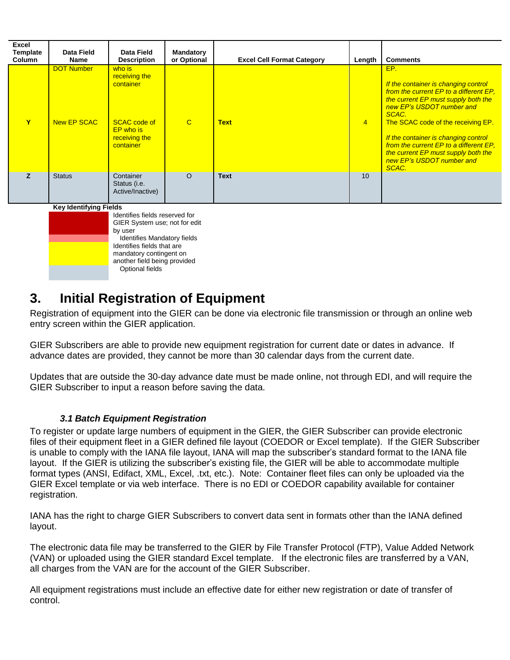| Excel<br><b>Template</b><br>Column | Data Field<br>Name               | Data Field<br><b>Description</b>                                                                              | Mandatory<br>or Optional | <b>Excel Cell Format Category</b> | Length         | <b>Comments</b>                                                                                                                                                                                                                                                                                                                                                         |
|------------------------------------|----------------------------------|---------------------------------------------------------------------------------------------------------------|--------------------------|-----------------------------------|----------------|-------------------------------------------------------------------------------------------------------------------------------------------------------------------------------------------------------------------------------------------------------------------------------------------------------------------------------------------------------------------------|
| Y                                  | <b>DOT Number</b><br>New EP SCAC | who is<br>receiving the<br>container<br><b>SCAC code of</b><br><b>EP</b> who is<br>receiving the<br>container | $\mathbf C$              | <b>Text</b>                       | $\overline{4}$ | EP.<br>If the container is changing control<br>from the current EP to a different EP,<br>the current EP must supply both the<br>new EP's USDOT number and<br>SCAC.<br>The SCAC code of the receiving EP.<br>If the container is changing control<br>from the current EP to a different EP,<br>the current EP must supply both the<br>new EP's USDOT number and<br>SCAC. |
| z                                  | <b>Status</b>                    | Container<br>Status (i.e.<br>Active/Inactive)                                                                 | $\Omega$                 | <b>Text</b>                       | 10             |                                                                                                                                                                                                                                                                                                                                                                         |
|                                    | <b>Key Identifying Fields</b>    |                                                                                                               |                          |                                   |                |                                                                                                                                                                                                                                                                                                                                                                         |
|                                    |                                  | Identifies fields reserved for<br>GIER System use; not for edit                                               |                          |                                   |                |                                                                                                                                                                                                                                                                                                                                                                         |

by user Identifies Mandatory fields Identifies fields that are mandatory contingent on another field being provided Optional fields

## **3. Initial Registration of Equipment**

Registration of equipment into the GIER can be done via electronic file transmission or through an online web entry screen within the GIER application.

GIER Subscribers are able to provide new equipment registration for current date or dates in advance. If advance dates are provided, they cannot be more than 30 calendar days from the current date.

Updates that are outside the 30-day advance date must be made online, not through EDI, and will require the GIER Subscriber to input a reason before saving the data.

### *3.1 Batch Equipment Registration*

To register or update large numbers of equipment in the GIER, the GIER Subscriber can provide electronic files of their equipment fleet in a GIER defined file layout (COEDOR or Excel template). If the GIER Subscriber is unable to comply with the IANA file layout, IANA will map the subscriber's standard format to the IANA file layout. If the GIER is utilizing the subscriber's existing file, the GIER will be able to accommodate multiple format types (ANSI, Edifact, XML, Excel, .txt, etc.). Note: Container fleet files can only be uploaded via the GIER Excel template or via web interface. There is no EDI or COEDOR capability available for container registration.

IANA has the right to charge GIER Subscribers to convert data sent in formats other than the IANA defined layout.

The electronic data file may be transferred to the GIER by File Transfer Protocol (FTP), Value Added Network (VAN) or uploaded using the GIER standard Excel template. If the electronic files are transferred by a VAN, all charges from the VAN are for the account of the GIER Subscriber.

All equipment registrations must include an effective date for either new registration or date of transfer of control.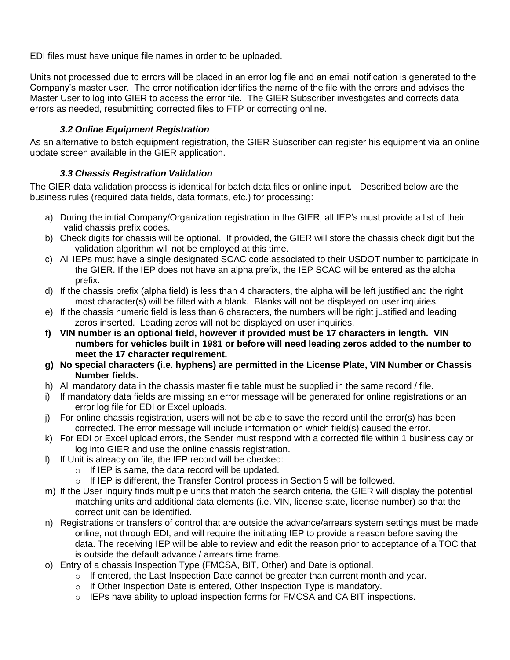EDI files must have unique file names in order to be uploaded.

Units not processed due to errors will be placed in an error log file and an email notification is generated to the Company's master user. The error notification identifies the name of the file with the errors and advises the Master User to log into GIER to access the error file. The GIER Subscriber investigates and corrects data errors as needed, resubmitting corrected files to FTP or correcting online.

#### *3.2 Online Equipment Registration*

As an alternative to batch equipment registration, the GIER Subscriber can register his equipment via an online update screen available in the GIER application.

#### *3.3 Chassis Registration Validation*

The GIER data validation process is identical for batch data files or online input. Described below are the business rules (required data fields, data formats, etc.) for processing:

- a) During the initial Company/Organization registration in the GIER, all IEP's must provide a list of their valid chassis prefix codes.
- b) Check digits for chassis will be optional. If provided, the GIER will store the chassis check digit but the validation algorithm will not be employed at this time.
- c) All IEPs must have a single designated SCAC code associated to their USDOT number to participate in the GIER. If the IEP does not have an alpha prefix, the IEP SCAC will be entered as the alpha prefix.
- d) If the chassis prefix (alpha field) is less than 4 characters, the alpha will be left justified and the right most character(s) will be filled with a blank. Blanks will not be displayed on user inquiries.
- e) If the chassis numeric field is less than 6 characters, the numbers will be right justified and leading zeros inserted. Leading zeros will not be displayed on user inquiries.
- **f) VIN number is an optional field, however if provided must be 17 characters in length. VIN numbers for vehicles built in 1981 or before will need leading zeros added to the number to meet the 17 character requirement.**
- **g) No special characters (i.e. hyphens) are permitted in the License Plate, VIN Number or Chassis Number fields.**
- h) All mandatory data in the chassis master file table must be supplied in the same record / file.
- i) If mandatory data fields are missing an error message will be generated for online registrations or an error log file for EDI or Excel uploads.
- j) For online chassis registration, users will not be able to save the record until the error(s) has been corrected. The error message will include information on which field(s) caused the error.
- k) For EDI or Excel upload errors, the Sender must respond with a corrected file within 1 business day or log into GIER and use the online chassis registration.
- l) If Unit is already on file, the IEP record will be checked:
	- o If IEP is same, the data record will be updated.
	- $\circ$  If IEP is different, the Transfer Control process in Section 5 will be followed.
- m) If the User Inquiry finds multiple units that match the search criteria, the GIER will display the potential matching units and additional data elements (i.e. VIN, license state, license number) so that the correct unit can be identified.
- n) Registrations or transfers of control that are outside the advance/arrears system settings must be made online, not through EDI, and will require the initiating IEP to provide a reason before saving the data. The receiving IEP will be able to review and edit the reason prior to acceptance of a TOC that is outside the default advance / arrears time frame.
- o) Entry of a chassis Inspection Type (FMCSA, BIT, Other) and Date is optional.
	- $\circ$  If entered, the Last Inspection Date cannot be greater than current month and year.
	- o If Other Inspection Date is entered, Other Inspection Type is mandatory.
	- $\circ$  IEPs have ability to upload inspection forms for FMCSA and CA BIT inspections.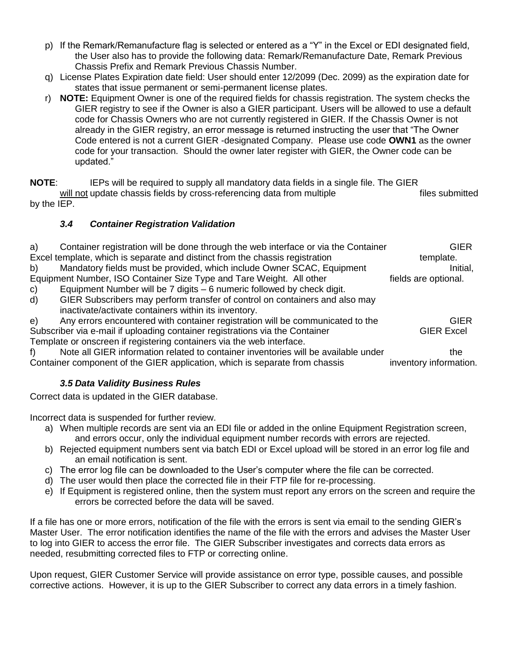- p) If the Remark/Remanufacture flag is selected or entered as a "Y" in the Excel or EDI designated field, the User also has to provide the following data: Remark/Remanufacture Date, Remark Previous Chassis Prefix and Remark Previous Chassis Number.
- q) License Plates Expiration date field: User should enter 12/2099 (Dec. 2099) as the expiration date for states that issue permanent or semi-permanent license plates.
- r) **NOTE:** Equipment Owner is one of the required fields for chassis registration. The system checks the GIER registry to see if the Owner is also a GIER participant. Users will be allowed to use a default code for Chassis Owners who are not currently registered in GIER. If the Chassis Owner is not already in the GIER registry, an error message is returned instructing the user that "The Owner Code entered is not a current GIER -designated Company. Please use code **OWN1** as the owner code for your transaction. Should the owner later register with GIER, the Owner code can be updated."

**NOTE:** IEPs will be required to supply all mandatory data fields in a single file. The GIER will not update chassis fields by cross-referencing data from multiple files submitted by the IEP.

### *3.4 Container Registration Validation*

| a)     | Container registration will be done through the web interface or via the Container | GIER                 |
|--------|------------------------------------------------------------------------------------|----------------------|
|        | Excel template, which is separate and distinct from the chassis registration       | template.            |
| b)     | Mandatory fields must be provided, which include Owner SCAC, Equipment             | Initial,             |
|        | Equipment Number, ISO Container Size Type and Tare Weight. All other               | fields are optional. |
| $\sim$ | Equipment Number will be 7 digita - 6 pumerio followed by aboak digit              |                      |

c) Equipment Number will be 7 digits – 6 numeric followed by check digit. d) GIER Subscribers may perform transfer of control on containers and also may inactivate/activate containers within its inventory.

e) Any errors encountered with container registration will be communicated to the GIER Subscriber via e-mail if uploading container registrations via the Container GIER Excel Template or onscreen if registering containers via the web interface.

f) Note all GIER information related to container inventories will be available under the Container component of the GIER application, which is separate from chassis inventory information.

## *3.5 Data Validity Business Rules*

Correct data is updated in the GIER database.

Incorrect data is suspended for further review.

- a) When multiple records are sent via an EDI file or added in the online Equipment Registration screen, and errors occur, only the individual equipment number records with errors are rejected.
- b) Rejected equipment numbers sent via batch EDI or Excel upload will be stored in an error log file and an email notification is sent.
- c) The error log file can be downloaded to the User's computer where the file can be corrected.
- d) The user would then place the corrected file in their FTP file for re-processing.
- e) If Equipment is registered online, then the system must report any errors on the screen and require the errors be corrected before the data will be saved.

If a file has one or more errors, notification of the file with the errors is sent via email to the sending GIER's Master User. The error notification identifies the name of the file with the errors and advises the Master User to log into GIER to access the error file. The GIER Subscriber investigates and corrects data errors as needed, resubmitting corrected files to FTP or correcting online.

Upon request, GIER Customer Service will provide assistance on error type, possible causes, and possible corrective actions. However, it is up to the GIER Subscriber to correct any data errors in a timely fashion.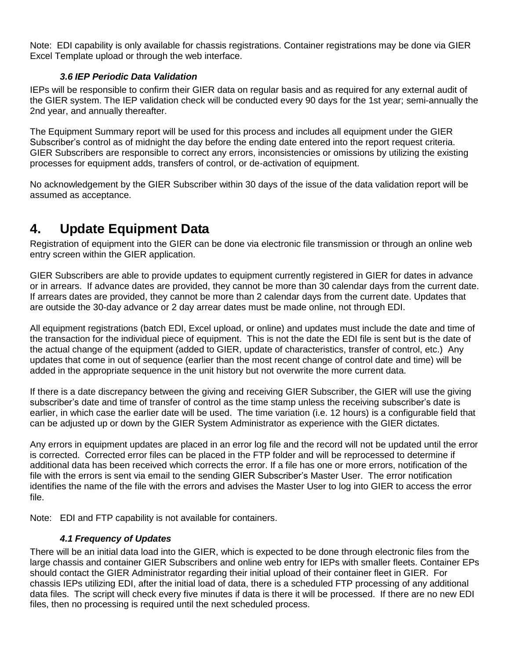Note: EDI capability is only available for chassis registrations. Container registrations may be done via GIER Excel Template upload or through the web interface.

#### *3.6 IEP Periodic Data Validation*

IEPs will be responsible to confirm their GIER data on regular basis and as required for any external audit of the GIER system. The IEP validation check will be conducted every 90 days for the 1st year; semi-annually the 2nd year, and annually thereafter.

The Equipment Summary report will be used for this process and includes all equipment under the GIER Subscriber's control as of midnight the day before the ending date entered into the report request criteria. GIER Subscribers are responsible to correct any errors, inconsistencies or omissions by utilizing the existing processes for equipment adds, transfers of control, or de-activation of equipment.

No acknowledgement by the GIER Subscriber within 30 days of the issue of the data validation report will be assumed as acceptance.

## **4. Update Equipment Data**

Registration of equipment into the GIER can be done via electronic file transmission or through an online web entry screen within the GIER application.

GIER Subscribers are able to provide updates to equipment currently registered in GIER for dates in advance or in arrears. If advance dates are provided, they cannot be more than 30 calendar days from the current date. If arrears dates are provided, they cannot be more than 2 calendar days from the current date. Updates that are outside the 30-day advance or 2 day arrear dates must be made online, not through EDI.

All equipment registrations (batch EDI, Excel upload, or online) and updates must include the date and time of the transaction for the individual piece of equipment. This is not the date the EDI file is sent but is the date of the actual change of the equipment (added to GIER, update of characteristics, transfer of control, etc.) Any updates that come in out of sequence (earlier than the most recent change of control date and time) will be added in the appropriate sequence in the unit history but not overwrite the more current data.

If there is a date discrepancy between the giving and receiving GIER Subscriber, the GIER will use the giving subscriber's date and time of transfer of control as the time stamp unless the receiving subscriber's date is earlier, in which case the earlier date will be used. The time variation (i.e. 12 hours) is a configurable field that can be adjusted up or down by the GIER System Administrator as experience with the GIER dictates.

Any errors in equipment updates are placed in an error log file and the record will not be updated until the error is corrected. Corrected error files can be placed in the FTP folder and will be reprocessed to determine if additional data has been received which corrects the error. If a file has one or more errors, notification of the file with the errors is sent via email to the sending GIER Subscriber's Master User. The error notification identifies the name of the file with the errors and advises the Master User to log into GIER to access the error file.

Note: EDI and FTP capability is not available for containers.

### *4.1 Frequency of Updates*

There will be an initial data load into the GIER, which is expected to be done through electronic files from the large chassis and container GIER Subscribers and online web entry for IEPs with smaller fleets. Container EPs should contact the GIER Administrator regarding their initial upload of their container fleet in GIER. For chassis IEPs utilizing EDI, after the initial load of data, there is a scheduled FTP processing of any additional data files. The script will check every five minutes if data is there it will be processed. If there are no new EDI files, then no processing is required until the next scheduled process.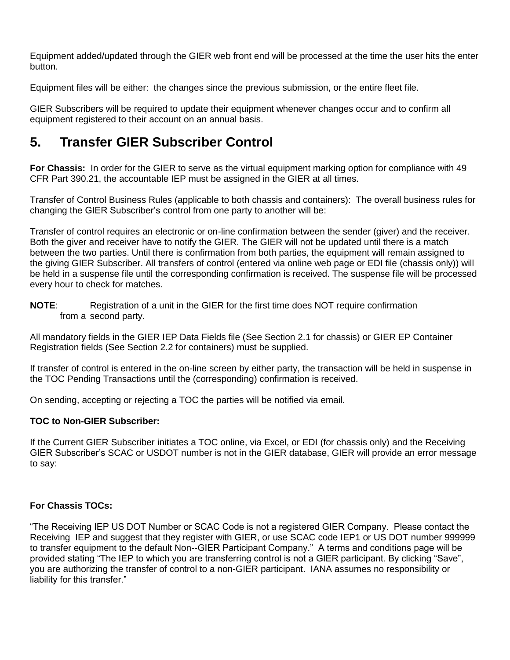Equipment added/updated through the GIER web front end will be processed at the time the user hits the enter button.

Equipment files will be either: the changes since the previous submission, or the entire fleet file.

GIER Subscribers will be required to update their equipment whenever changes occur and to confirm all equipment registered to their account on an annual basis.

# **5. Transfer GIER Subscriber Control**

**For Chassis:** In order for the GIER to serve as the virtual equipment marking option for compliance with 49 CFR Part 390.21, the accountable IEP must be assigned in the GIER at all times.

Transfer of Control Business Rules (applicable to both chassis and containers): The overall business rules for changing the GIER Subscriber's control from one party to another will be:

Transfer of control requires an electronic or on-line confirmation between the sender (giver) and the receiver. Both the giver and receiver have to notify the GIER. The GIER will not be updated until there is a match between the two parties. Until there is confirmation from both parties, the equipment will remain assigned to the giving GIER Subscriber. All transfers of control (entered via online web page or EDI file (chassis only)) will be held in a suspense file until the corresponding confirmation is received. The suspense file will be processed every hour to check for matches.

**NOTE**: Registration of a unit in the GIER for the first time does NOT require confirmation from a second party.

All mandatory fields in the GIER IEP Data Fields file (See Section 2.1 for chassis) or GIER EP Container Registration fields (See Section 2.2 for containers) must be supplied.

If transfer of control is entered in the on-line screen by either party, the transaction will be held in suspense in the TOC Pending Transactions until the (corresponding) confirmation is received.

On sending, accepting or rejecting a TOC the parties will be notified via email.

#### **TOC to Non-GIER Subscriber:**

If the Current GIER Subscriber initiates a TOC online, via Excel, or EDI (for chassis only) and the Receiving GIER Subscriber's SCAC or USDOT number is not in the GIER database, GIER will provide an error message to say:

### **For Chassis TOCs:**

"The Receiving IEP US DOT Number or SCAC Code is not a registered GIER Company. Please contact the Receiving IEP and suggest that they register with GIER, or use SCAC code IEP1 or US DOT number 999999 to transfer equipment to the default Non--GIER Participant Company." A terms and conditions page will be provided stating "The IEP to which you are transferring control is not a GIER participant. By clicking "Save", you are authorizing the transfer of control to a non-GIER participant. IANA assumes no responsibility or liability for this transfer."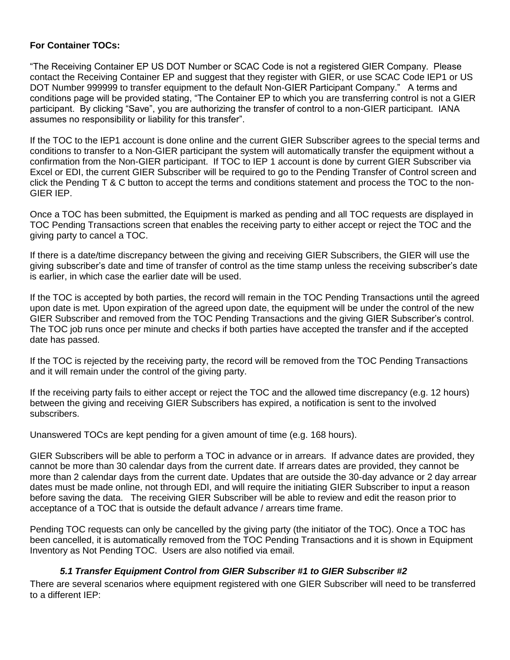#### **For Container TOCs:**

"The Receiving Container EP US DOT Number or SCAC Code is not a registered GIER Company. Please contact the Receiving Container EP and suggest that they register with GIER, or use SCAC Code IEP1 or US DOT Number 999999 to transfer equipment to the default Non-GIER Participant Company." A terms and conditions page will be provided stating, "The Container EP to which you are transferring control is not a GIER participant. By clicking "Save", you are authorizing the transfer of control to a non-GIER participant. IANA assumes no responsibility or liability for this transfer".

If the TOC to the IEP1 account is done online and the current GIER Subscriber agrees to the special terms and conditions to transfer to a Non-GIER participant the system will automatically transfer the equipment without a confirmation from the Non-GIER participant. If TOC to IEP 1 account is done by current GIER Subscriber via Excel or EDI, the current GIER Subscriber will be required to go to the Pending Transfer of Control screen and click the Pending T & C button to accept the terms and conditions statement and process the TOC to the non-GIER IEP.

Once a TOC has been submitted, the Equipment is marked as pending and all TOC requests are displayed in TOC Pending Transactions screen that enables the receiving party to either accept or reject the TOC and the giving party to cancel a TOC.

If there is a date/time discrepancy between the giving and receiving GIER Subscribers, the GIER will use the giving subscriber's date and time of transfer of control as the time stamp unless the receiving subscriber's date is earlier, in which case the earlier date will be used.

If the TOC is accepted by both parties, the record will remain in the TOC Pending Transactions until the agreed upon date is met. Upon expiration of the agreed upon date, the equipment will be under the control of the new GIER Subscriber and removed from the TOC Pending Transactions and the giving GIER Subscriber's control. The TOC job runs once per minute and checks if both parties have accepted the transfer and if the accepted date has passed.

If the TOC is rejected by the receiving party, the record will be removed from the TOC Pending Transactions and it will remain under the control of the giving party.

If the receiving party fails to either accept or reject the TOC and the allowed time discrepancy (e.g. 12 hours) between the giving and receiving GIER Subscribers has expired, a notification is sent to the involved subscribers.

Unanswered TOCs are kept pending for a given amount of time (e.g. 168 hours).

GIER Subscribers will be able to perform a TOC in advance or in arrears. If advance dates are provided, they cannot be more than 30 calendar days from the current date. If arrears dates are provided, they cannot be more than 2 calendar days from the current date. Updates that are outside the 30-day advance or 2 day arrear dates must be made online, not through EDI, and will require the initiating GIER Subscriber to input a reason before saving the data. The receiving GIER Subscriber will be able to review and edit the reason prior to acceptance of a TOC that is outside the default advance / arrears time frame.

Pending TOC requests can only be cancelled by the giving party (the initiator of the TOC). Once a TOC has been cancelled, it is automatically removed from the TOC Pending Transactions and it is shown in Equipment Inventory as Not Pending TOC. Users are also notified via email.

#### *5.1 Transfer Equipment Control from GIER Subscriber #1 to GIER Subscriber #2*

There are several scenarios where equipment registered with one GIER Subscriber will need to be transferred to a different IEP: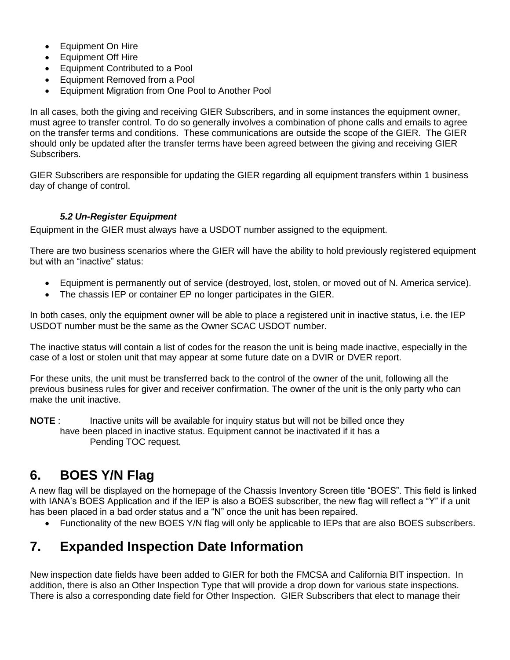- Equipment On Hire
- Equipment Off Hire
- Equipment Contributed to a Pool
- Equipment Removed from a Pool
- Equipment Migration from One Pool to Another Pool

In all cases, both the giving and receiving GIER Subscribers, and in some instances the equipment owner, must agree to transfer control. To do so generally involves a combination of phone calls and emails to agree on the transfer terms and conditions. These communications are outside the scope of the GIER. The GIER should only be updated after the transfer terms have been agreed between the giving and receiving GIER Subscribers.

GIER Subscribers are responsible for updating the GIER regarding all equipment transfers within 1 business day of change of control.

### *5.2 Un-Register Equipment*

Equipment in the GIER must always have a USDOT number assigned to the equipment.

There are two business scenarios where the GIER will have the ability to hold previously registered equipment but with an "inactive" status:

- Equipment is permanently out of service (destroyed, lost, stolen, or moved out of N. America service).
- The chassis IEP or container EP no longer participates in the GIER.

In both cases, only the equipment owner will be able to place a registered unit in inactive status, i.e. the IEP USDOT number must be the same as the Owner SCAC USDOT number.

The inactive status will contain a list of codes for the reason the unit is being made inactive, especially in the case of a lost or stolen unit that may appear at some future date on a DVIR or DVER report.

For these units, the unit must be transferred back to the control of the owner of the unit, following all the previous business rules for giver and receiver confirmation. The owner of the unit is the only party who can make the unit inactive.

**NOTE** : Inactive units will be available for inquiry status but will not be billed once they have been placed in inactive status. Equipment cannot be inactivated if it has a Pending TOC request.

# **6. BOES Y/N Flag**

A new flag will be displayed on the homepage of the Chassis Inventory Screen title "BOES". This field is linked with IANA's BOES Application and if the IEP is also a BOES subscriber, the new flag will reflect a "Y" if a unit has been placed in a bad order status and a "N" once the unit has been repaired.

Functionality of the new BOES Y/N flag will only be applicable to IEPs that are also BOES subscribers.

# **7. Expanded Inspection Date Information**

New inspection date fields have been added to GIER for both the FMCSA and California BIT inspection. In addition, there is also an Other Inspection Type that will provide a drop down for various state inspections. There is also a corresponding date field for Other Inspection. GIER Subscribers that elect to manage their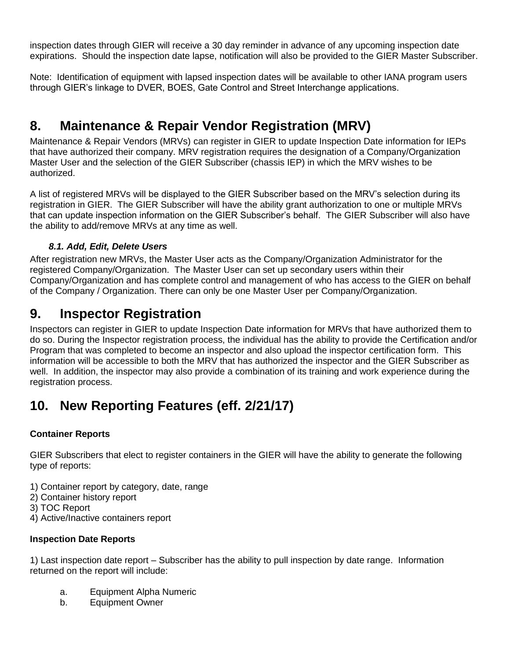inspection dates through GIER will receive a 30 day reminder in advance of any upcoming inspection date expirations. Should the inspection date lapse, notification will also be provided to the GIER Master Subscriber.

Note: Identification of equipment with lapsed inspection dates will be available to other IANA program users through GIER's linkage to DVER, BOES, Gate Control and Street Interchange applications.

# **8. Maintenance & Repair Vendor Registration (MRV)**

Maintenance & Repair Vendors (MRVs) can register in GIER to update Inspection Date information for IEPs that have authorized their company. MRV registration requires the designation of a Company/Organization Master User and the selection of the GIER Subscriber (chassis IEP) in which the MRV wishes to be authorized.

A list of registered MRVs will be displayed to the GIER Subscriber based on the MRV's selection during its registration in GIER. The GIER Subscriber will have the ability grant authorization to one or multiple MRVs that can update inspection information on the GIER Subscriber's behalf. The GIER Subscriber will also have the ability to add/remove MRVs at any time as well.

### *8.1. Add, Edit, Delete Users*

After registration new MRVs, the Master User acts as the Company/Organization Administrator for the registered Company/Organization. The Master User can set up secondary users within their Company/Organization and has complete control and management of who has access to the GIER on behalf of the Company / Organization. There can only be one Master User per Company/Organization.

## **9. Inspector Registration**

Inspectors can register in GIER to update Inspection Date information for MRVs that have authorized them to do so. During the Inspector registration process, the individual has the ability to provide the Certification and/or Program that was completed to become an inspector and also upload the inspector certification form. This information will be accessible to both the MRV that has authorized the inspector and the GIER Subscriber as well. In addition, the inspector may also provide a combination of its training and work experience during the registration process.

# **10. New Reporting Features (eff. 2/21/17)**

### **Container Reports**

GIER Subscribers that elect to register containers in the GIER will have the ability to generate the following type of reports:

1) Container report by category, date, range

- 2) Container history report
- 3) TOC Report

4) Active/Inactive containers report

### **Inspection Date Reports**

1) Last inspection date report – Subscriber has the ability to pull inspection by date range. Information returned on the report will include:

- a. Equipment Alpha Numeric
- b. Equipment Owner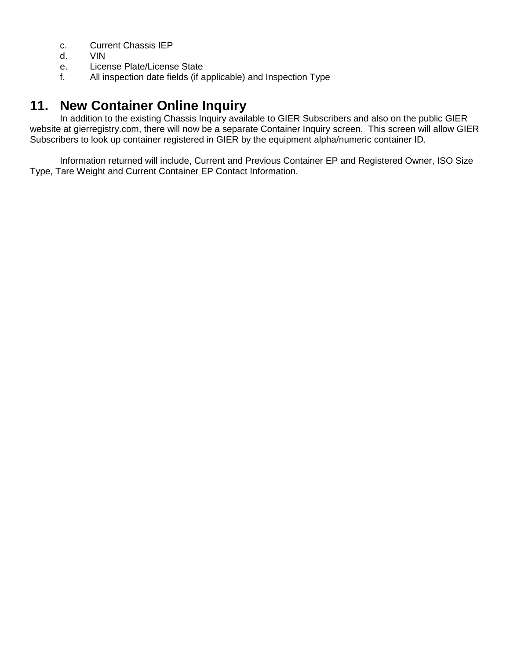- c. Current Chassis IEP
- d. VIN
- e. License Plate/License State
- f. All inspection date fields (if applicable) and Inspection Type

## **11. New Container Online Inquiry**

In addition to the existing Chassis Inquiry available to GIER Subscribers and also on the public GIER website at gierregistry.com, there will now be a separate Container Inquiry screen. This screen will allow GIER Subscribers to look up container registered in GIER by the equipment alpha/numeric container ID.

Information returned will include, Current and Previous Container EP and Registered Owner, ISO Size Type, Tare Weight and Current Container EP Contact Information.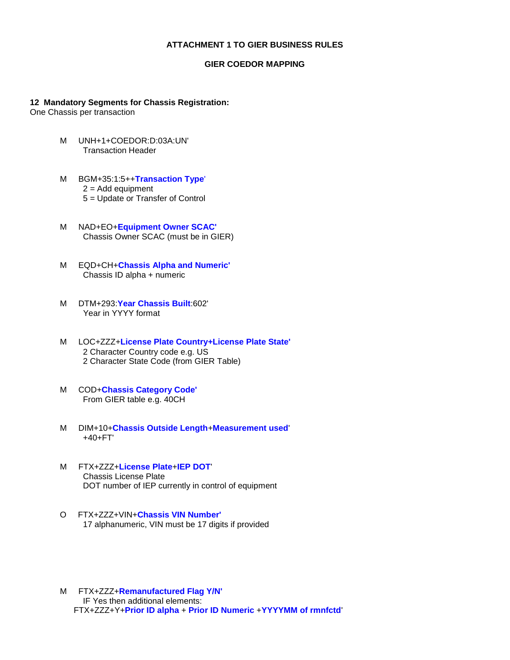#### **ATTACHMENT 1 TO GIER BUSINESS RULES**

#### **GIER COEDOR MAPPING**

#### **12 Mandatory Segments for Chassis Registration:**

One Chassis per transaction

- M UNH+1+COEDOR:D:03A:UN' Transaction Header
- M BGM+35:1:5++**Transaction Type**'  $2 =$  Add equipment 5 = Update or Transfer of Control
- M NAD+EO+**Equipment Owner SCAC'** Chassis Owner SCAC (must be in GIER)
- M EQD+CH+**Chassis Alpha and Numeric'** Chassis ID alpha + numeric
- M DTM+293:**Year Chassis Built**:602' Year in YYYY format
- M LOC+ZZZ+**License Plate Country+License Plate State'** 2 Character Country code e.g. US 2 Character State Code (from GIER Table)
- M COD+**Chassis Category Code'** From GIER table e.g. 40CH
- M DIM+10+**Chassis Outside Length**+**Measurement used**' +40+FT'
- M FTX+ZZZ+**License Plate**+**IEP DOT**' Chassis License Plate DOT number of IEP currently in control of equipment
- O FTX+ZZZ+VIN+**Chassis VIN Number'** 17 alphanumeric, VIN must be 17 digits if provided
- M FTX+ZZZ+**Remanufactured Flag Y/N'** IF Yes then additional elements: FTX+ZZZ+Y+**Prior ID alpha** + **Prior ID Numeric** +**YYYYMM of rmnfctd**'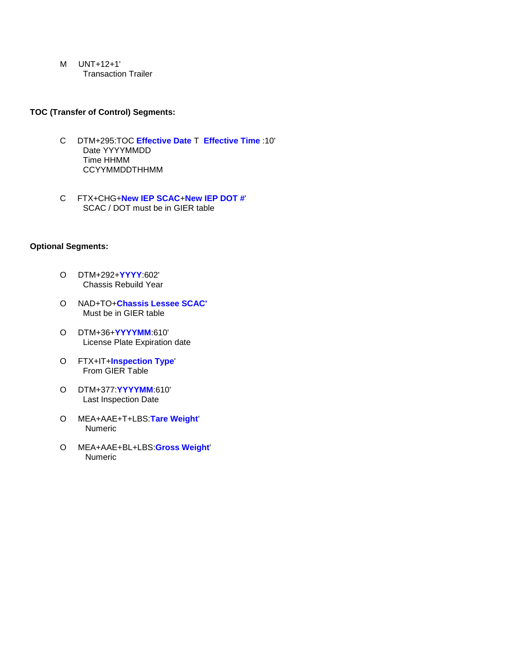M UNT+12+1' Transaction Trailer

#### **TOC (Transfer of Control) Segments:**

- C DTM+295:TOC **Effective Date** T **Effective Time** :10' Date YYYYMMDD Time HHMM CCYYMMDDTHHMM
- C FTX+CHG+**New IEP SCAC**+**New IEP DOT #**' SCAC / DOT must be in GIER table

#### **Optional Segments:**

- O DTM+292+**YYYY**:602' Chassis Rebuild Year
- O NAD+TO+**Chassis Lessee SCAC'** Must be in GIER table
- O DTM+36+**YYYYMM**:610' License Plate Expiration date
- O FTX+IT+**Inspection Type**' From GIER Table
- O DTM+377:**YYYYMM**:610' Last Inspection Date
- O MEA+AAE+T+LBS:**Tare Weight**' Numeric
- O MEA+AAE+BL+LBS:**Gross Weight**' Numeric